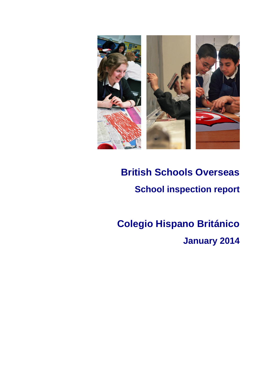

# **British Schools Overseas School inspection report**

# **Colegio Hispano Británico**

**January 2014**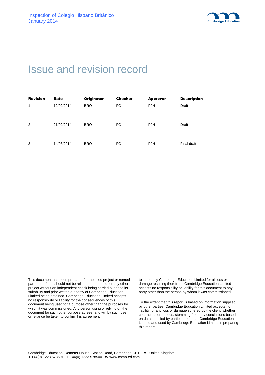

# Issue and revision record

| <b>Revision</b> | <b>Date</b> | Originator | <b>Checker</b> | <b>Approver</b> | <b>Description</b> |
|-----------------|-------------|------------|----------------|-----------------|--------------------|
| 1               | 12/02/2014  | <b>BRO</b> | FG             | <b>PJH</b>      | Draft              |
| 2               | 21/02/2014  | <b>BRO</b> | FG             | <b>PJH</b>      | Draft              |
| 3               | 14/03/2014  | <b>BRO</b> | FG             | <b>PJH</b>      | Final draft        |

This document has been prepared for the titled project or named part thereof and should not be relied upon or used for any other project without an independent check being carried out as to its suitability and prior written authority of Cambridge Education Limited being obtained. Cambridge Education Limited accepts no responsibility or liability for the consequences of this document being used for a purpose other than the purposes for which it was commissioned. Any person using or relying on the document for such other purpose agrees, and will by such use or reliance be taken to confirm his agreement

to indemnify Cambridge Education Limited for all loss or damage resulting therefrom. Cambridge Education Limited accepts no responsibility or liability for this document to any party other than the person by whom it was commissioned.

To the extent that this report is based on information supplied by other parties, Cambridge Education Limited accepts no liability for any loss or damage suffered by the client, whether contractual or tortious, stemming from any conclusions based on data supplied by parties other than Cambridge Education Limited and used by Cambridge Education Limited in preparing this report.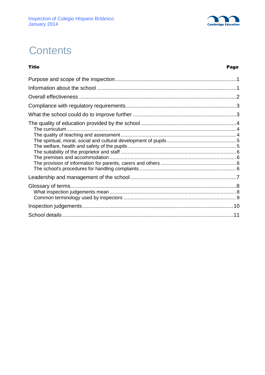

# **Contents**

**Title** 

#### Page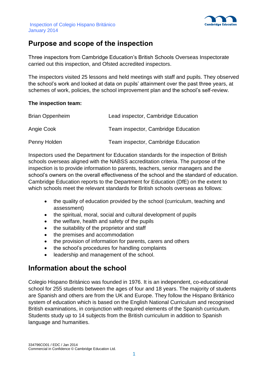

# **Purpose and scope of the inspection**

Three inspectors from Cambridge Education's British Schools Overseas Inspectorate carried out this inspection, and Ofsted accredited inspectors.

The inspectors visited 25 lessons and held meetings with staff and pupils. They observed the school's work and looked at data on pupils' attainment over the past three years, at schemes of work, policies, the school improvement plan and the school's self-review.

#### **The inspection team:**

| <b>Brian Oppenheim</b> | Lead inspector, Cambridge Education |
|------------------------|-------------------------------------|
| Angie Cook             | Team inspector, Cambridge Education |
| Penny Holden           | Team inspector, Cambridge Education |

Inspectors used the Department for Education standards for the inspection of British schools overseas aligned with the NABSS accreditation criteria. The purpose of the inspection is to provide information to parents, teachers, senior managers and the school's owners on the overall effectiveness of the school and the standard of education. Cambridge Education reports to the Department for Education (DfE) on the extent to which schools meet the relevant standards for British schools overseas as follows:

- the quality of education provided by the school (curriculum, teaching and assessment)
- the spiritual, moral, social and cultural development of pupils
- the welfare, health and safety of the pupils
- the suitability of the proprietor and staff
- the premises and accommodation
- the provision of information for parents, carers and others
- the school's procedures for handling complaints
- leadership and management of the school.

## **Information about the school**

Colegio Hispano Británico was founded in 1976. It is an independent, co-educational school for 255 students between the ages of four and 18 years. The majority of students are Spanish and others are from the UK and Europe. They follow the Hispano Británico system of education which is based on the English National Curriculum and recognised British examinations, in conjunction with required elements of the Spanish curriculum. Students study up to 14 subjects from the British curriculum in addition to Spanish language and humanities.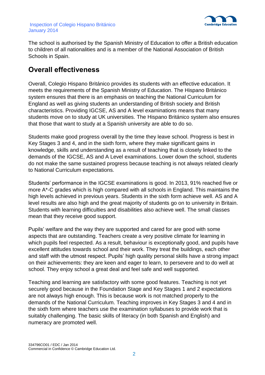

The school is authorised by the Spanish Ministry of Education to offer a British education to children of all nationalities and is a member of the National Association of British Schools in Spain.

# **Overall effectiveness**

Overall, Colegio Hispano Británico provides its students with an effective education. It meets the requirements of the Spanish Ministry of Education. The Hispano Británico system ensures that there is an emphasis on teaching the National Curriculum for England as well as giving students an understanding of British society and British characteristics. Providing IGCSE, AS and A level examinations means that many students move on to study at UK universities. The Hispano Británico system also ensures that those that want to study at a Spanish university are able to do so.

Students make good progress overall by the time they leave school. Progress is best in Key Stages 3 and 4, and in the sixth form, where they make significant gains in knowledge, skills and understanding as a result of teaching that is closely linked to the demands of the IGCSE, AS and A Level examinations. Lower down the school, students do not make the same sustained progress because teaching is not always related clearly to National Curriculum expectations.

Students' performance in the IGCSE examinations is good. In 2013, 91% reached five or more A\*-C grades which is high compared with all schools in England. This maintains the high levels achieved in previous years. Students in the sixth form achieve well. AS and A level results are also high and the great majority of students go on to university in Britain. Students with learning difficulties and disabilities also achieve well. The small classes mean that they receive good support.

Pupils' welfare and the way they are supported and cared for are good with some aspects that are outstanding. Teachers create a very positive climate for learning in which pupils feel respected. As a result, behaviour is exceptionally good, and pupils have excellent attitudes towards school and their work. They treat the buildings, each other and staff with the utmost respect. Pupils' high quality personal skills have a strong impact on their achievements: they are keen and eager to learn, to persevere and to do well at school. They enjoy school a great deal and feel safe and well supported.

Teaching and learning are satisfactory with some good features. Teaching is not yet securely good because in the Foundation Stage and Key Stages 1 and 2 expectations are not always high enough. This is because work is not matched properly to the demands of the National Curriculum. Teaching improves in Key Stages 3 and 4 and in the sixth form where teachers use the examination syllabuses to provide work that is suitably challenging. The basic skills of literacy (in both Spanish and English) and numeracy are promoted well.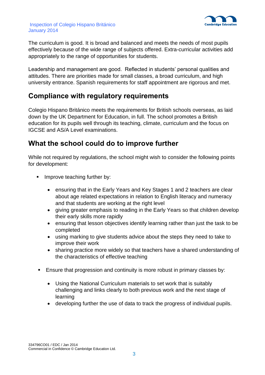

The curriculum is good. It is broad and balanced and meets the needs of most pupils effectively because of the wide range of subjects offered. Extra-curricular activities add appropriately to the range of opportunities for students.

Leadership and management are good. Reflected in students' personal qualities and attitudes. There are priorities made for small classes, a broad curriculum, and high university entrance. Spanish requirements for staff appointment are rigorous and met.

### **Compliance with regulatory requirements**

Colegio Hispano Británico meets the requirements for British schools overseas, as laid down by the UK Department for Education, in full. The school promotes a British education for its pupils well through its teaching, climate, curriculum and the focus on IGCSE and AS/A Level examinations.

## **What the school could do to improve further**

While not required by regulations, the school might wish to consider the following points for development:

- **IMPROVE teaching further by:** 
	- ensuring that in the Early Years and Key Stages 1 and 2 teachers are clear about age related expectations in relation to English literacy and numeracy and that students are working at the right level
	- giving greater emphasis to reading in the Early Years so that children develop their early skills more rapidly
	- ensuring that lesson objectives identify learning rather than just the task to be completed
	- using marking to give students advice about the steps they need to take to improve their work
	- sharing practice more widely so that teachers have a shared understanding of the characteristics of effective teaching
- Ensure that progression and continuity is more robust in primary classes by:
	- Using the National Curriculum materials to set work that is suitably challenging and links clearly to both previous work and the next stage of learning
	- developing further the use of data to track the progress of individual pupils.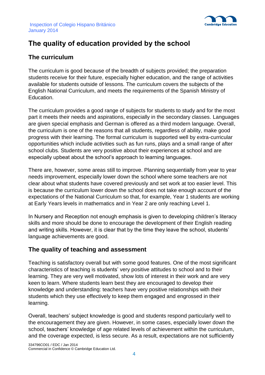

# **The quality of education provided by the school**

### **The curriculum**

The curriculum is good because of the breadth of subjects provided; the preparation students receive for their future, especially higher education, and the range of activities available for students outside of lessons. The curriculum covers the subjects of the English National Curriculum, and meets the requirements of the Spanish Ministry of Education.

The curriculum provides a good range of subjects for students to study and for the most part it meets their needs and aspirations, especially in the secondary classes. Languages are given special emphasis and German is offered as a third modern language. Overall, the curriculum is one of the reasons that all students, regardless of ability, make good progress with their learning. The formal curriculum is supported well by extra-curricular opportunities which include activities such as fun runs, plays and a small range of after school clubs. Students are very positive about their experiences at school and are especially upbeat about the school's approach to learning languages.

There are, however, some areas still to improve. Planning sequentially from year to year needs improvement, especially lower down the school where some teachers are not clear about what students have covered previously and set work at too easier level. This is because the curriculum lower down the school does not take enough account of the expectations of the National Curriculum so that, for example, Year 1 students are working at Early Years levels in mathematics and in Year 2 are only reaching Level 1.

In Nursery and Reception not enough emphasis is given to developing children's literacy skills and more should be done to encourage the development of their English reading and writing skills. However, it is clear that by the time they leave the school, students' language achievements are good.

### **The quality of teaching and assessment**

Teaching is satisfactory overall but with some good features. One of the most significant characteristics of teaching is students' very positive attitudes to school and to their learning. They are very well motivated, show lots of interest in their work and are very keen to learn. Where students learn best they are encouraged to develop their knowledge and understanding: teachers have very positive relationships with their students which they use effectively to keep them engaged and engrossed in their learning.

Overall, teachers' subject knowledge is good and students respond particularly well to the encouragement they are given. However, in some cases, especially lower down the school, teachers' knowledge of age related levels of achievement within the curriculum, and the coverage expected, is less secure. As a result, expectations are not sufficiently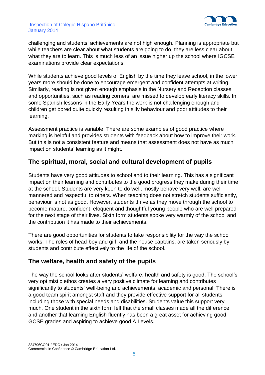

#### Inspection of Colegio Hispano Británico January 2014

challenging and students' achievements are not high enough. Planning is appropriate but while teachers are clear about what students are going to do, they are less clear about what they are to learn. This is much less of an issue higher up the school where IGCSE examinations provide clear expectations.

While students achieve good levels of English by the time they leave school, in the lower years more should be done to encourage emergent and confident attempts at writing. Similarly, reading is not given enough emphasis in the Nursery and Reception classes and opportunities, such as reading corners, are missed to develop early literacy skills. In some Spanish lessons in the Early Years the work is not challenging enough and children get bored quite quickly resulting in silly behaviour and poor attitudes to their learning.

Assessment practice is variable. There are some examples of good practice where marking is helpful and provides students with feedback about how to improve their work. But this is not a consistent feature and means that assessment does not have as much impact on students' learning as it might.

### **The spiritual, moral, social and cultural development of pupils**

Students have very good attitudes to school and to their learning. This has a significant impact on their learning and contributes to the good progress they make during their time at the school. Students are very keen to do well, mostly behave very well, are well mannered and respectful to others. When teaching does not stretch students sufficiently, behaviour is not as good. However, students thrive as they move through the school to become mature, confident, eloquent and thoughtful young people who are well prepared for the next stage of their lives. Sixth form students spoke very warmly of the school and the contribution it has made to their achievements.

There are good opportunities for students to take responsibility for the way the school works. The roles of head-boy and girl, and the house captains, are taken seriously by students and contribute effectively to the life of the school.

### **The welfare, health and safety of the pupils**

The way the school looks after students' welfare, health and safety is good. The school's very optimistic ethos creates a very positive climate for learning and contributes significantly to students' well-being and achievements, academic and personal. There is a good team spirit amongst staff and they provide effective support for all students including those with special needs and disabilities. Students value this support very much. One student in the sixth form felt that the small classes made all the difference and another that learning English fluently has been a great asset for achieving good GCSE grades and aspiring to achieve good A Levels.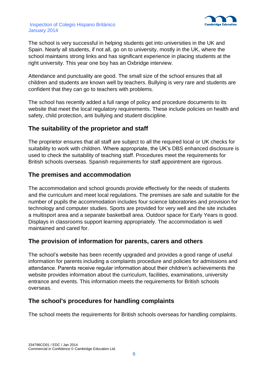

#### Inspection of Colegio Hispano Británico January 2014

The school is very successful in helping students get into universities in the UK and Spain. Nearly all students, if not all, go on to university, mostly in the UK, where the school maintains strong links and has significant experience in placing students at the right university. This year one boy has an Oxbridge interview.

Attendance and punctuality are good. The small size of the school ensures that all children and students are known well by teachers. Bullying is very rare and students are confident that they can go to teachers with problems.

The school has recently added a full range of policy and procedure documents to its website that meet the local regulatory requirements. These include policies on health and safety, child protection, anti bullying and student discipline.

### **The suitability of the proprietor and staff**

The proprietor ensures that all staff are subject to all the required local or UK checks for suitability to work with children. Where appropriate, the UK's DBS enhanced disclosure is used to check the suitability of teaching staff. Procedures meet the requirements for British schools overseas. Spanish requirements for staff appointment are rigorous.

### **The premises and accommodation**

The accommodation and school grounds provide effectively for the needs of students and the curriculum and meet local regulations. The premises are safe and suitable for the number of pupils the accommodation includes four science laboratories and provision for technology and computer studies. Sports are provided for very well and the site includes a multisport area and a separate basketball area. Outdoor space for Early Years is good. Displays in classrooms support learning appropriately. The accommodation is well maintained and cared for.

### **The provision of information for parents, carers and others**

The school's website has been recently upgraded and provides a good range of useful information for parents including a complaints procedure and policies for admissions and attendance. Parents receive regular information about their children's achievements the website provides information about the curriculum, facilities, examinations, university entrance and events. This information meets the requirements for British schools overseas.

### **The school's procedures for handling complaints**

The school meets the requirements for British schools overseas for handling complaints.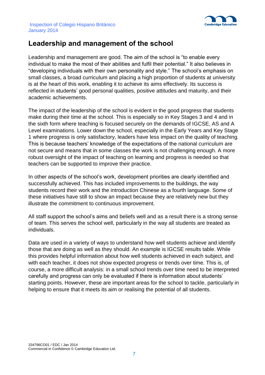

# **Leadership and management of the school**

Leadership and management are good. The aim of the school is "to enable every individual to make the most of their abilities and fulfil their potential." It also believes in "developing individuals with their own personality and style." The school's emphasis on small classes, a broad curriculum and placing a high proportion of students at university is at the heart of this work, enabling it to achieve its aims effectively. Its success is reflected in students' good personal qualities, positive attitudes and maturity, and their academic achievements.

The impact of the leadership of the school is evident in the good progress that students make during their time at the school. This is especially so in Key Stages 3 and 4 and in the sixth form where teaching is focused securely on the demands of IGCSE, AS and A Level examinations. Lower down the school, especially in the Early Years and Key Stage 1 where progress is only satisfactory, leaders have less impact on the quality of teaching. This is because teachers' knowledge of the expectations of the national curriculum are not secure and means that in some classes the work is not challenging enough. A more robust oversight of the impact of teaching on learning and progress is needed so that teachers can be supported to improve their practice.

In other aspects of the school's work, development priorities are clearly identified and successfully achieved. This has included improvements to the buildings, the way students record their work and the introduction Chinese as a fourth language. Some of these initiatives have still to show an impact because they are relatively new but they illustrate the commitment to continuous improvement.

All staff support the school's aims and beliefs well and as a result there is a strong sense of team. This serves the school well, particularly in the way all students are treated as individuals.

Data are used in a variety of ways to understand how well students achieve and identify those that are doing as well as they should. An example is IGCSE results table. While this provides helpful information about how well students achieved in each subject, and with each teacher, it does not show expected progress or trends over time. This is, of course, a more difficult analysis: in a small school trends over time need to be interpreted carefully and progress can only be evaluated if there is information about students' starting points. However, these are important areas for the school to tackle, particularly in helping to ensure that it meets its aim or realising the potential of all students.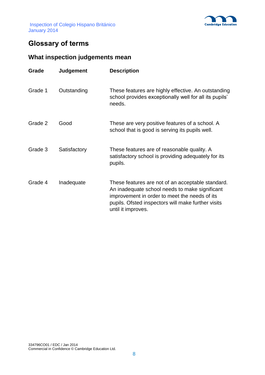



# **Glossary of terms**

## **What inspection judgements mean**

| Grade   | <b>Judgement</b> | <b>Description</b>                                                                                                                                                                                                               |
|---------|------------------|----------------------------------------------------------------------------------------------------------------------------------------------------------------------------------------------------------------------------------|
| Grade 1 | Outstanding      | These features are highly effective. An outstanding<br>school provides exceptionally well for all its pupils'<br>needs.                                                                                                          |
| Grade 2 | Good             | These are very positive features of a school. A<br>school that is good is serving its pupils well.                                                                                                                               |
| Grade 3 | Satisfactory     | These features are of reasonable quality. A<br>satisfactory school is providing adequately for its<br>pupils.                                                                                                                    |
| Grade 4 | Inadequate       | These features are not of an acceptable standard.<br>An inadequate school needs to make significant<br>improvement in order to meet the needs of its<br>pupils. Ofsted inspectors will make further visits<br>until it improves. |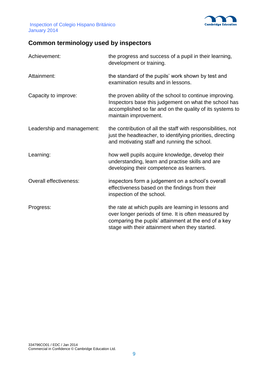

Inspection of Colegio Hispano Británico January 2014

## **Common terminology used by inspectors**

| Achievement:               | the progress and success of a pupil in their learning,<br>development or training.                                                                                                                                     |
|----------------------------|------------------------------------------------------------------------------------------------------------------------------------------------------------------------------------------------------------------------|
| Attainment:                | the standard of the pupils' work shown by test and<br>examination results and in lessons.                                                                                                                              |
| Capacity to improve:       | the proven ability of the school to continue improving.<br>Inspectors base this judgement on what the school has<br>accomplished so far and on the quality of its systems to<br>maintain improvement.                  |
| Leadership and management: | the contribution of all the staff with responsibilities, not<br>just the headteacher, to identifying priorities, directing<br>and motivating staff and running the school.                                             |
| Learning:                  | how well pupils acquire knowledge, develop their<br>understanding, learn and practise skills and are<br>developing their competence as learners.                                                                       |
| Overall effectiveness:     | inspectors form a judgement on a school's overall<br>effectiveness based on the findings from their<br>inspection of the school.                                                                                       |
| Progress:                  | the rate at which pupils are learning in lessons and<br>over longer periods of time. It is often measured by<br>comparing the pupils' attainment at the end of a key<br>stage with their attainment when they started. |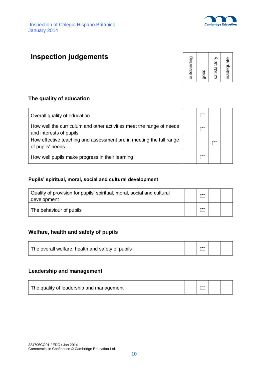

# **Inspection judgements**



#### **The quality of education**

| Overall quality of education                                                                    |     |  |
|-------------------------------------------------------------------------------------------------|-----|--|
| How well the curriculum and other activities meet the range of needs<br>and interests of pupils | $-$ |  |
| How effective teaching and assessment are in meeting the full range<br>of pupils' needs         |     |  |
| How well pupils make progress in their learning                                                 |     |  |

#### **Pupils' spiritual, moral, social and cultural development**

| Quality of provision for pupils' spiritual, moral, social and cultural<br>development | <b>The Contract of Contract of the Contract of The Contract of The Contract of The Contract of The Contract of The Contract of The Contract of The Contract of The Contract of The Contract of The Contract of The Contract of T</b> |  |
|---------------------------------------------------------------------------------------|--------------------------------------------------------------------------------------------------------------------------------------------------------------------------------------------------------------------------------------|--|
| The behaviour of pupils                                                               | $-$                                                                                                                                                                                                                                  |  |

### **Welfare, health and safety of pupils**

| The overall welfare, health and safety of pupils |  |  |  |  |
|--------------------------------------------------|--|--|--|--|
|--------------------------------------------------|--|--|--|--|

#### **Leadership and management**

| The quality of leadership and management | <b>CONTINUES</b> |  |
|------------------------------------------|------------------|--|
|                                          |                  |  |